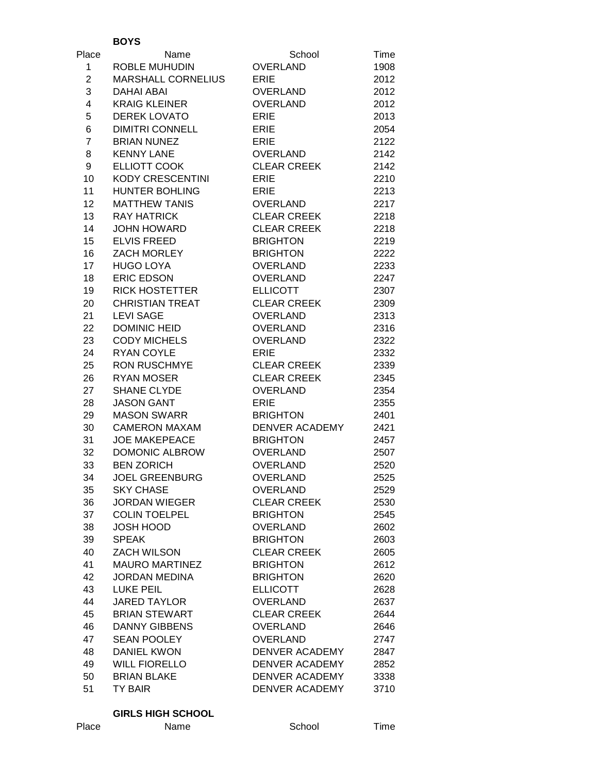|                | <b>BOYS</b>               |                       |      |
|----------------|---------------------------|-----------------------|------|
| Place          | Name                      | School                | Time |
| $\mathbf{1}$   | <b>ROBLE MUHUDIN</b>      | <b>OVERLAND</b>       | 1908 |
| $\overline{c}$ | <b>MARSHALL CORNELIUS</b> | <b>ERIE</b>           | 2012 |
| 3              | <b>DAHAI ABAI</b>         | OVERLAND              | 2012 |
| 4              | <b>KRAIG KLEINER</b>      | OVERLAND              | 2012 |
| 5              | <b>DEREK LOVATO</b>       | <b>ERIE</b>           | 2013 |
| 6              | <b>DIMITRI CONNELL</b>    | <b>ERIE</b>           | 2054 |
| $\overline{7}$ | <b>BRIAN NUNEZ</b>        | <b>ERIE</b>           | 2122 |
| 8              | <b>KENNY LANE</b>         | OVERLAND              | 2142 |
| 9              | ELLIOTT COOK              | <b>CLEAR CREEK</b>    | 2142 |
|                | <b>KODY CRESCENTINI</b>   |                       |      |
| 10             |                           | <b>ERIE</b>           | 2210 |
| 11             | <b>HUNTER BOHLING</b>     | <b>ERIE</b>           | 2213 |
| 12             | <b>MATTHEW TANIS</b>      | <b>OVERLAND</b>       | 2217 |
| 13             | <b>RAY HATRICK</b>        | <b>CLEAR CREEK</b>    | 2218 |
| 14             | JOHN HOWARD               | <b>CLEAR CREEK</b>    | 2218 |
| 15             | <b>ELVIS FREED</b>        | <b>BRIGHTON</b>       | 2219 |
| 16             | ZACH MORLEY               | <b>BRIGHTON</b>       | 2222 |
| 17             | <b>HUGO LOYA</b>          | OVERLAND              | 2233 |
| 18             | <b>ERIC EDSON</b>         | OVERLAND              | 2247 |
| 19             | <b>RICK HOSTETTER</b>     | <b>ELLICOTT</b>       | 2307 |
| 20             | <b>CHRISTIAN TREAT</b>    | <b>CLEAR CREEK</b>    | 2309 |
| 21             | <b>LEVI SAGE</b>          | <b>OVERLAND</b>       | 2313 |
| 22             | <b>DOMINIC HEID</b>       | OVERLAND              | 2316 |
| 23             | <b>CODY MICHELS</b>       | <b>OVERLAND</b>       | 2322 |
| 24             | <b>RYAN COYLE</b>         | <b>ERIE</b>           | 2332 |
| 25             | <b>RON RUSCHMYE</b>       | <b>CLEAR CREEK</b>    | 2339 |
| 26             | <b>RYAN MOSER</b>         | <b>CLEAR CREEK</b>    | 2345 |
| 27             | SHANE CLYDE               | <b>OVERLAND</b>       | 2354 |
| 28             | <b>JASON GANT</b>         | <b>ERIE</b>           | 2355 |
|                | <b>MASON SWARR</b>        | <b>BRIGHTON</b>       |      |
| 29             |                           |                       | 2401 |
| 30             | <b>CAMERON MAXAM</b>      | DENVER ACADEMY        | 2421 |
| 31             | <b>JOE MAKEPEACE</b>      | <b>BRIGHTON</b>       | 2457 |
| 32             | DOMONIC ALBROW            | OVERLAND              | 2507 |
| 33             | <b>BEN ZORICH</b>         | <b>OVERLAND</b>       | 2520 |
| 34             | <b>JOEL GREENBURG</b>     | OVERLAND              | 2525 |
| 35             | <b>SKY CHASE</b>          | <b>OVERLAND</b>       | 2529 |
| 36             | <b>JORDAN WIEGER</b>      | <b>CLEAR CREEK</b>    | 2530 |
| 37             | <b>COLIN TOELPEL</b>      | <b>BRIGHTON</b>       | 2545 |
| 38             | JOSH HOOD                 | <b>OVERLAND</b>       | 2602 |
| 39             | <b>SPEAK</b>              | <b>BRIGHTON</b>       | 2603 |
| 40             | <b>ZACH WILSON</b>        | <b>CLEAR CREEK</b>    | 2605 |
| 41             | <b>MAURO MARTINEZ</b>     | <b>BRIGHTON</b>       | 2612 |
| 42             | <b>JORDAN MEDINA</b>      | <b>BRIGHTON</b>       | 2620 |
| 43             | <b>LUKE PEIL</b>          | <b>ELLICOTT</b>       | 2628 |
| 44             | <b>JARED TAYLOR</b>       | <b>OVERLAND</b>       | 2637 |
| 45             | <b>BRIAN STEWART</b>      | <b>CLEAR CREEK</b>    | 2644 |
| 46             | <b>DANNY GIBBENS</b>      | <b>OVERLAND</b>       | 2646 |
| 47             | <b>SEAN POOLEY</b>        | <b>OVERLAND</b>       | 2747 |
| 48             | DANIEL KWON               | DENVER ACADEMY        | 2847 |
| 49             | <b>WILL FIORELLO</b>      | DENVER ACADEMY        | 2852 |
| 50             | <b>BRIAN BLAKE</b>        | DENVER ACADEMY        | 3338 |
| 51             |                           | <b>DENVER ACADEMY</b> |      |
|                | TY BAIR                   |                       | 3710 |

### **GIRLS HIGH SCHOOL**

| . . | ۰, | ۰, |
|-----|----|----|
|     |    |    |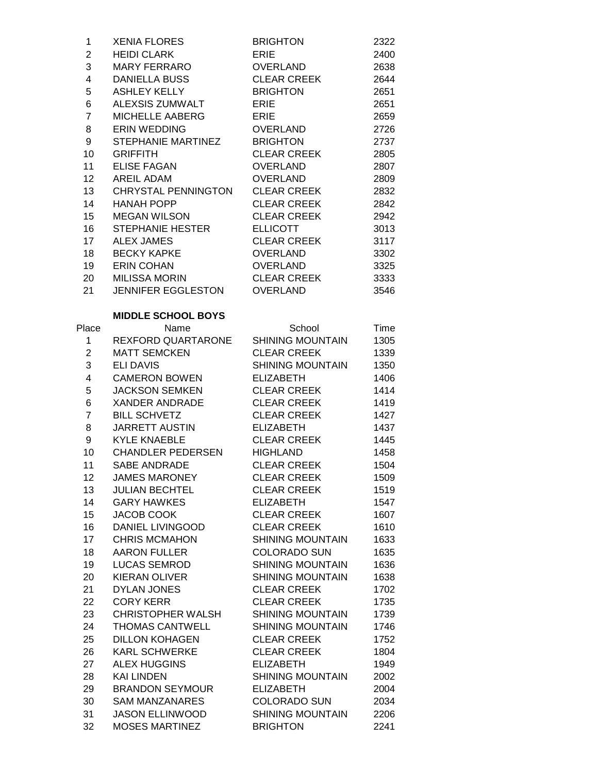| $\mathbf{1}$            | <b>XENIA FLORES</b>       | <b>BRIGHTON</b>         | 2322 |
|-------------------------|---------------------------|-------------------------|------|
| $\overline{\mathbf{c}}$ | <b>HEIDI CLARK</b>        | <b>ERIE</b>             | 2400 |
| 3                       | MARY FERRARO              | OVERLAND                | 2638 |
| $\overline{\mathbf{4}}$ | <b>DANIELLA BUSS</b>      | <b>CLEAR CREEK</b>      | 2644 |
| 5                       | ASHLEY KELLY              | <b>BRIGHTON</b>         | 2651 |
| 6                       | ALEXSIS ZUMWALT           | <b>ERIE</b>             | 2651 |
| $\overline{7}$          | MICHELLE AABERG           | <b>ERIE</b>             | 2659 |
| 8                       | <b>ERIN WEDDING</b>       | OVERLAND                | 2726 |
| 9                       | STEPHANIE MARTINEZ        | <b>BRIGHTON</b>         | 2737 |
| 10                      | <b>GRIFFITH</b>           | <b>CLEAR CREEK</b>      | 2805 |
| 11                      | <b>ELISE FAGAN</b>        | OVERLAND                | 2807 |
| 12 <sup>2</sup>         | AREIL ADAM                | OVERLAND                | 2809 |
| 13                      | CHRYSTAL PENNINGTON       | <b>CLEAR CREEK</b>      | 2832 |
| 14                      | <b>HANAH POPP</b>         | <b>CLEAR CREEK</b>      | 2842 |
| 15                      | MEGAN WILSON              | <b>CLEAR CREEK</b>      | 2942 |
| 16                      | STEPHANIE HESTER          | <b>ELLICOTT</b>         | 3013 |
| 17                      | ALEX JAMES                | <b>CLEAR CREEK</b>      | 3117 |
| 18                      | <b>BECKY KAPKE</b>        | <b>OVERLAND</b>         | 3302 |
| 19                      | ERIN COHAN                | OVERLAND                | 3325 |
| 20                      | MILISSA MORIN             | <b>CLEAR CREEK</b>      | 3333 |
| 21                      | JENNIFER EGGLESTON        | OVERLAND                | 3546 |
|                         |                           |                         |      |
|                         | <b>MIDDLE SCHOOL BOYS</b> |                         |      |
| Place                   | Name                      | School                  | Time |
| 1                       | REXFORD QUARTARONE        | <b>SHINING MOUNTAIN</b> | 1305 |
| $\overline{\mathbf{c}}$ | <b>MATT SEMCKEN</b>       | <b>CLEAR CREEK</b>      | 1339 |
| 3                       | <b>ELI DAVIS</b>          | <b>SHINING MOUNTAIN</b> | 1350 |
| $\overline{\mathbf{4}}$ | <b>CAMERON BOWEN</b>      | <b>ELIZABETH</b>        | 1406 |
| 5                       | <b>JACKSON SEMKEN</b>     | <b>CLEAR CREEK</b>      | 1414 |
| 6                       | XANDER ANDRADE            | <b>CLEAR CREEK</b>      | 1419 |
| $\overline{7}$          | <b>BILL SCHVETZ</b>       | <b>CLEAR CREEK</b>      | 1427 |
| 8                       | <b>JARRETT AUSTIN</b>     | <b>ELIZABETH</b>        | 1437 |
| 9                       | <b>KYLE KNAEBLE</b>       | <b>CLEAR CREEK</b>      | 1445 |
| 10                      | CHANDLER PEDERSEN         | <b>HIGHLAND</b>         | 1458 |
| 11                      | <b>SABE ANDRADE</b>       | <b>CLEAR CREEK</b>      | 1504 |
| 12                      | <b>JAMES MARONEY</b>      | <b>CLEAR CREEK</b>      | 1509 |
| 13                      | <b>JULIAN BECHTEL</b>     | <b>CLEAR CREEK</b>      | 1519 |
| 14                      | <b>GARY HAWKES</b>        | <b>ELIZABETH</b>        | 1547 |
| 15                      | JACOB COOK                | <b>CLEAR CREEK</b>      | 1607 |
| 16                      | DANIEL LIVINGOOD          | <b>CLEAR CREEK</b>      | 1610 |
| 17                      | <b>CHRIS MCMAHON</b>      | SHINING MOUNTAIN        | 1633 |
| 18                      | <b>AARON FULLER</b>       | <b>COLORADO SUN</b>     | 1635 |
| 19                      | <b>LUCAS SEMROD</b>       | <b>SHINING MOUNTAIN</b> | 1636 |
| 20                      | KIERAN OLIVER             | <b>SHINING MOUNTAIN</b> | 1638 |
| 21                      | <b>DYLAN JONES</b>        | <b>CLEAR CREEK</b>      | 1702 |
| 22                      | <b>CORY KERR</b>          | <b>CLEAR CREEK</b>      | 1735 |
| 23                      | <b>CHRISTOPHER WALSH</b>  | <b>SHINING MOUNTAIN</b> | 1739 |
| 24                      | <b>THOMAS CANTWELL</b>    | SHINING MOUNTAIN        | 1746 |
| 25                      | <b>DILLON KOHAGEN</b>     | <b>CLEAR CREEK</b>      | 1752 |
| 26                      | <b>KARL SCHWERKE</b>      | <b>CLEAR CREEK</b>      | 1804 |
| 27                      | <b>ALEX HUGGINS</b>       | <b>ELIZABETH</b>        | 1949 |
| 28                      | <b>KAI LINDEN</b>         | <b>SHINING MOUNTAIN</b> | 2002 |
| 29                      | <b>BRANDON SEYMOUR</b>    | <b>ELIZABETH</b>        | 2004 |
| 30                      | <b>SAM MANZANARES</b>     | <b>COLORADO SUN</b>     | 2034 |
| 31                      | <b>JASON ELLINWOOD</b>    | <b>SHINING MOUNTAIN</b> | 2206 |
| 32                      | <b>MOSES MARTINEZ</b>     | <b>BRIGHTON</b>         | 2241 |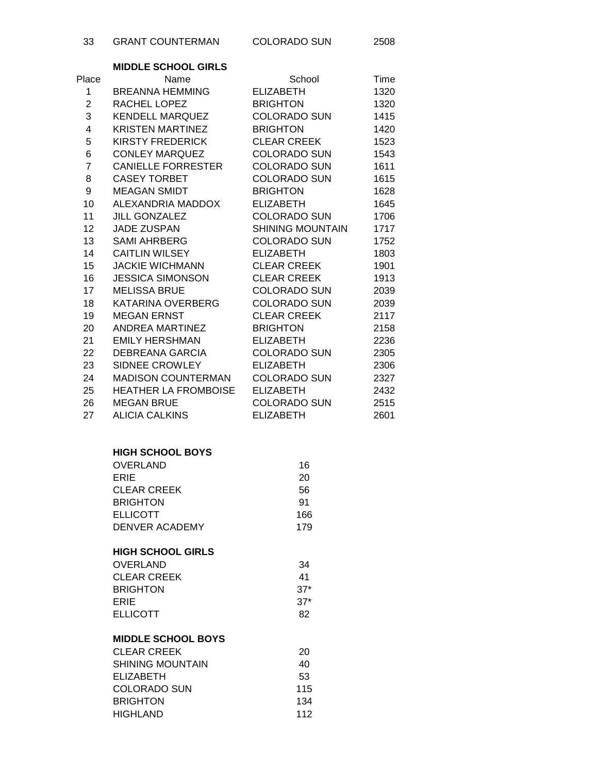|                 | <b>MIDDLE SCHOOL GIRLS</b>      |                     |      |
|-----------------|---------------------------------|---------------------|------|
| Place           | Name                            | School              | Time |
| 1               | BREANNA HEMMING                 | ELIZABETH           | 1320 |
| $\overline{2}$  | RACHEL LOPEZ                    | <b>BRIGHTON</b>     | 1320 |
| 3               | KENDELL MARQUEZ                 | <b>COLORADO SUN</b> | 1415 |
| 4               | KRISTEN MARTINEZ                | <b>BRIGHTON</b>     | 1420 |
| 5               | KIRSTY FREDERICK                | <b>CLEAR CREEK</b>  | 1523 |
| 6               | CONLEY MARQUEZ                  | <b>COLORADO SUN</b> | 1543 |
| $\overline{7}$  | CANIELLE FORRESTER              | <b>COLORADO SUN</b> | 1611 |
| 8               | <b>CASEY TORBET</b>             | <b>COLORADO SUN</b> | 1615 |
| 9               | MEAGAN SMIDT                    | <b>BRIGHTON</b>     | 1628 |
| 10              | ALEXANDRIA MADDOX ELIZABETH     |                     | 1645 |
| 11              | <b>JILL GONZALEZ</b>            | COLORADO SUN        | 1706 |
| 12              | <b>JADE ZUSPAN</b>              | SHINING MOUNTAIN    | 1717 |
| 13              | SAMI AHRBERG                    | COLORADO SUN        | 1752 |
| 14              | <b>CAITLIN WILSEY</b>           | ELIZABETH           | 1803 |
| 15              | <b>JACKIE WICHMANN</b>          | <b>CLEAR CREEK</b>  | 1901 |
| 16              | <b>JESSICA SIMONSON</b>         | CLEAR CREEK         | 1913 |
| 17              | <b>MELISSA BRUE</b>             | <b>COLORADO SUN</b> | 2039 |
| 18              | KATARINA OVERBERG               | <b>COLORADO SUN</b> | 2039 |
| 19              | <b>MEGAN ERNST</b>              | CLEAR CREEK         | 2117 |
| 20              | ANDREA MARTINEZ                 | BRIGHTON            | 2158 |
| 21              | EMILY HERSHMAN                  | ELIZABETH           | 2236 |
| 22              | DEBREANA GARCIA                 | COLORADO SUN        | 2305 |
| 23              | SIDNEE CROWLEY                  | <b>ELIZABETH</b>    | 2306 |
| 24              | MADISON COUNTERMAN COLORADO SUN |                     | 2327 |
| 25 <sub>2</sub> | HEATHER LA FROMBOISE ELIZABETH  |                     | 2432 |
| 26              | <b>MEGAN BRUE</b>               | COLORADO SUN        | 2515 |
| 27              | <b>ALICIA CALKINS</b>           | <b>ELIZABETH</b>    | 2601 |

#### **HIGH SCHOOL BOYS**

| <b>OVERLAND</b>    | 16  |
|--------------------|-----|
| ERIE               | 20  |
| <b>CLEAR CREEK</b> | 56  |
| <b>BRIGHTON</b>    | 91  |
| <b>ELLICOTT</b>    | 166 |
| DENVER ACADEMY     | 179 |

#### **HIGH SCHOOL GIRLS**

| OVERLAND    | 34     |
|-------------|--------|
| CLEAR CREEK | 41     |
| BRIGHTON    | $.37*$ |
| ERIE        | $.37*$ |
| ELLICOTT    | 82     |

## **MIDDLE SCHOOL BOYS**

| CLEAR CREEK      | 20  |
|------------------|-----|
| SHINING MOUNTAIN | 40  |
| ELIZABETH        | 53  |
| COLORADO SUN     | 115 |
| <b>BRIGHTON</b>  | 134 |
| HIGHLAND         | 112 |